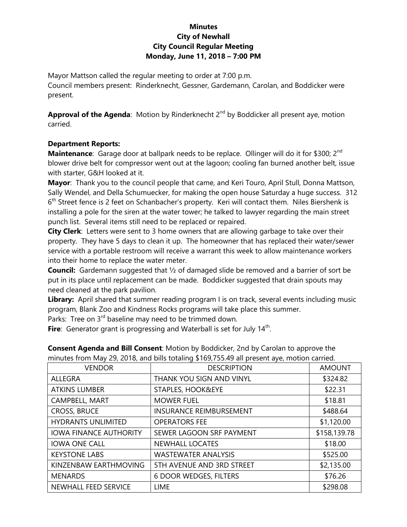## **Minutes City of Newhall City Council Regular Meeting Monday, June 11, 2018 – 7:00 PM**

Mayor Mattson called the regular meeting to order at 7:00 p.m. Council members present: Rinderknecht, Gessner, Gardemann, Carolan, and Boddicker were present.

Approval of the Agenda: Motion by Rinderknecht 2<sup>nd</sup> by Boddicker all present aye, motion carried.

## **Department Reports:**

**Maintenance**: Garage door at ballpark needs to be replace. Ollinger will do it for \$300; 2<sup>nd</sup> blower drive belt for compressor went out at the lagoon; cooling fan burned another belt, issue with starter, G&H looked at it.

**Mayor**: Thank you to the council people that came, and Keri Touro, April Stull, Donna Mattson, Sally Wendel, and Della Schumuecker, for making the open house Saturday a huge success. 312 6<sup>th</sup> Street fence is 2 feet on Schanbacher's property. Keri will contact them. Niles Biershenk is installing a pole for the siren at the water tower; he talked to lawyer regarding the main street punch list. Several items still need to be replaced or repaired.

**City Clerk**: Letters were sent to 3 home owners that are allowing garbage to take over their property. They have 5 days to clean it up. The homeowner that has replaced their water/sewer service with a portable restroom will receive a warrant this week to allow maintenance workers into their home to replace the water meter.

**Council:** Gardemann suggested that ½ of damaged slide be removed and a barrier of sort be put in its place until replacement can be made. Boddicker suggested that drain spouts may need cleaned at the park pavilion.

Library: April shared that summer reading program I is on track, several events including music program, Blank Zoo and Kindness Rocks programs will take place this summer.

Parks: Tree on  $3^{rd}$  baseline may need to be trimmed down.

Fire: Generator grant is progressing and Waterball is set for July 14<sup>th</sup>.

| <b>VENDOR</b>                 | <b>DESCRIPTION</b>             | <b>AMOUNT</b> |
|-------------------------------|--------------------------------|---------------|
| <b>ALLEGRA</b>                | THANK YOU SIGN AND VINYL       | \$324.82      |
| <b>ATKINS LUMBER</b>          | STAPLES, HOOK&EYE              | \$22.31       |
| CAMPBELL, MART                | <b>MOWER FUEL</b>              | \$18.81       |
| <b>CROSS, BRUCE</b>           | <b>INSURANCE REIMBURSEMENT</b> | \$488.64      |
| <b>HYDRANTS UNLIMITED</b>     | <b>OPERATORS FEE</b>           | \$1,120.00    |
| <b>IOWA FINANCE AUTHORITY</b> | SEWER LAGOON SRF PAYMENT       | \$158,139.78  |
| <b>IOWA ONE CALL</b>          | <b>NEWHALL LOCATES</b>         | \$18.00       |
| <b>KEYSTONE LABS</b>          | <b>WASTEWATER ANALYSIS</b>     | \$525.00      |
| KINZENBAW EARTHMOVING         | 5TH AVENUE AND 3RD STREET      | \$2,135.00    |
| <b>MENARDS</b>                | <b>6 DOOR WEDGES, FILTERS</b>  | \$76.26       |
| NEWHALL FEED SERVICE          | <b>LIME</b>                    | \$298.08      |

**Consent Agenda and Bill Consent**: Motion by Boddicker, 2nd by Carolan to approve the minutes from May 29, 2018, and bills totaling \$169,755.49 all present aye, motion carried.